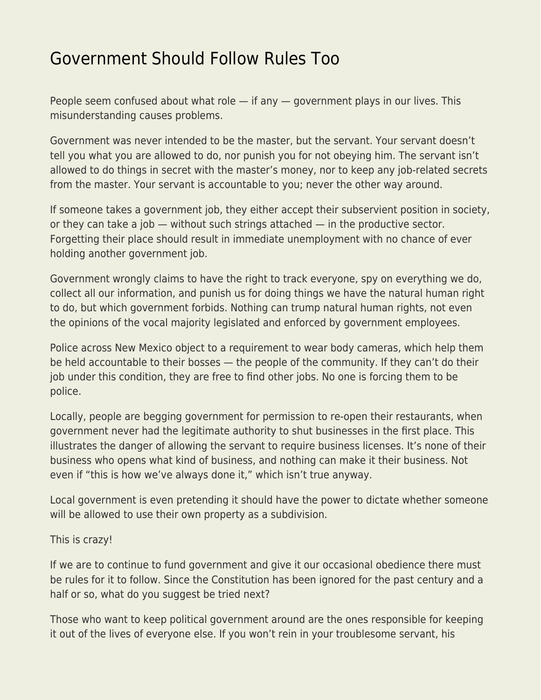## [Government Should Follow Rules Too](https://everything-voluntary.com/government-should-follow-rules-too)

People seem confused about what role  $-$  if any  $-$  government plays in our lives. This misunderstanding causes problems.

Government was never intended to be the master, but the servant. Your servant doesn't tell you what you are allowed to do, nor punish you for not obeying him. The servant isn't allowed to do things in secret with the master's money, nor to keep any job-related secrets from the master. Your servant is accountable to you; never the other way around.

If someone takes a government job, they either accept their subservient position in society, or they can take a job — without such strings attached — in the productive sector. Forgetting their place should result in immediate unemployment with no chance of ever holding another government job.

Government wrongly claims to have the right to track everyone, spy on everything we do, collect all our information, and punish us for doing things we have the natural human right to do, but which government forbids. Nothing can trump natural human rights, not even the opinions of the vocal majority legislated and enforced by government employees.

Police across New Mexico object to a requirement to wear body cameras, which help them be held accountable to their bosses — the people of the community. If they can't do their job under this condition, they are free to find other jobs. No one is forcing them to be police.

Locally, people are begging government for permission to re-open their restaurants, when government never had the legitimate authority to shut businesses in the first place. This illustrates the danger of allowing the servant to require business licenses. It's none of their business who opens what kind of business, and nothing can make it their business. Not even if "this is how we've always done it," which isn't true anyway.

Local government is even pretending it should have the power to dictate whether someone will be allowed to use their own property as a subdivision.

## This is crazy!

If we are to continue to fund government and give it our occasional obedience there must be rules for it to follow. Since the Constitution has been ignored for the past century and a half or so, what do you suggest be tried next?

Those who want to keep political government around are the ones responsible for keeping it out of the lives of everyone else. If you won't rein in your troublesome servant, his